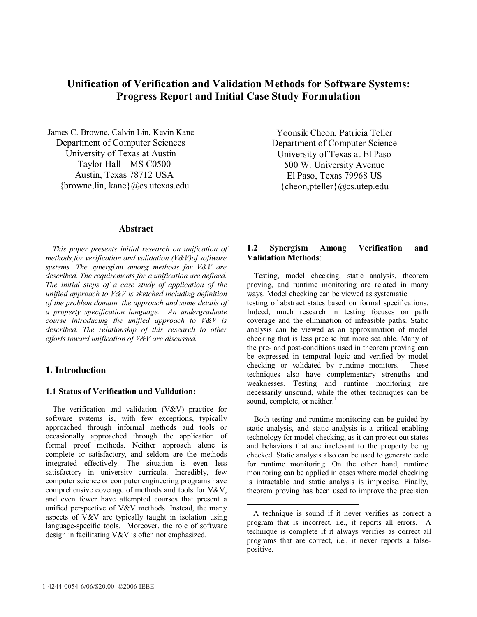# **Unification of Verification and Validation Methods for Software Systems: Progress Report and Initial Case Study Formulation**

 $\overline{a}$ 

James C. Browne, Calvin Lin, Kevin Kane Department of Computer Sciences University of Texas at Austin Taylor Hall – MS C0500 Austin, Texas 78712 USA {browne,lin, kane}@cs.utexas.edu

#### **Abstract**

 *This paper presents initial research on unification of methods for verification and validation (V&V)of software systems. The synergism among methods for V&V are described. The requirements for a unification are defined. The initial steps of a case study of application of the unified approach to V&V is sketched including definition of the problem domain, the approach and some details of a property specification language. An undergraduate course introducing the unified approach to V&V is described. The relationship of this research to other efforts toward unification of V&V are discussed.* 

#### **1. Introduction**

#### **1.1 Status of Verification and Validation:**

 The verification and validation (V&V) practice for software systems is, with few exceptions, typically approached through informal methods and tools or occasionally approached through the application of formal proof methods. Neither approach alone is complete or satisfactory, and seldom are the methods integrated effectively. The situation is even less satisfactory in university curricula. Incredibly, few computer science or computer engineering programs have comprehensive coverage of methods and tools for V&V, and even fewer have attempted courses that present a unified perspective of V&V methods. Instead, the many aspects of V&V are typically taught in isolation using language-specific tools. Moreover, the role of software design in facilitating V&V is often not emphasized.

Yoonsik Cheon, Patricia Teller Department of Computer Science University of Texas at El Paso 500 W. University Avenue El Paso, Texas 79968 US  ${cheon,pteller} @cs.utep.edu$ 

## **1.2 Synergism Among Verification and Validation Methods**:

 Testing, model checking, static analysis, theorem proving, and runtime monitoring are related in many ways. Model checking can be viewed as systematic testing of abstract states based on formal specifications. Indeed, much research in testing focuses on path coverage and the elimination of infeasible paths. Static analysis can be viewed as an approximation of model checking that is less precise but more scalable. Many of the pre- and post-conditions used in theorem proving can be expressed in temporal logic and verified by model checking or validated by runtime monitors. These techniques also have complementary strengths and weaknesses. Testing and runtime monitoring are necessarily unsound, while the other techniques can be sound, complete, or neither.<sup>1</sup>

 Both testing and runtime monitoring can be guided by static analysis, and static analysis is a critical enabling technology for model checking, as it can project out states and behaviors that are irrelevant to the property being checked. Static analysis also can be used to generate code for runtime monitoring. On the other hand, runtime monitoring can be applied in cases where model checking is intractable and static analysis is imprecise. Finally, theorem proving has been used to improve the precision

<sup>&</sup>lt;sup>1</sup> A technique is sound if it never verifies as correct a program that is incorrect, i.e., it reports all errors. A technique is complete if it always verifies as correct all programs that are correct, i.e., it never reports a falsepositive.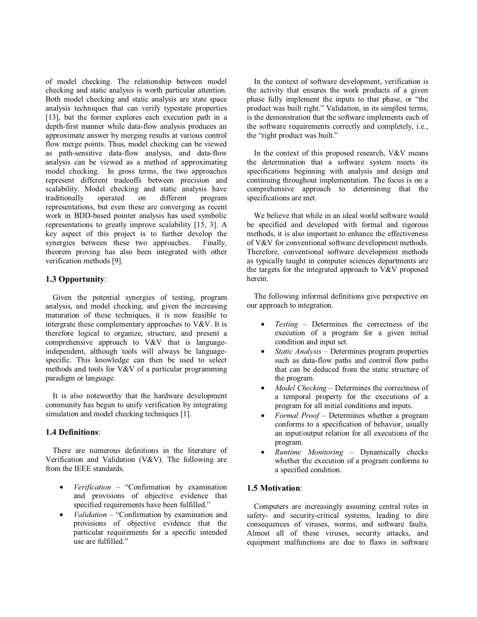of model checking. The relationship between model checking and static analysis is worth particular attention. Both model checking and static analysis are state space analysis techniques that can verify typestate properties [13], but the former explores each execution path in a depth-first manner while data-flow analysis produces an approximate answer by merging results at various control flow merge points. Thus, model checking can be viewed as path-sensitive data-flow analysis, and data-flow analysis can be viewed as a method of approximating model checking. In gross terms, the two approaches represent different tradeoffs between precision and scalability. Model checking and static analysis have traditionally operated on different program representations, but even these are converging as recent work in BDD-based pointer analysis has used symbolic representations to greatly improve scalability [15, 3]. A key aspect of this project is to further develop the synergies between these two approaches. Finally, theorem proving has also been integrated with other verification methods [9].

## **1.3 Opportunity**:

 Given the potential synergies of testing, program analysis, and model checking, and given the increasing maturation of these techniques, it is now feasible to intergrate these complementary approaches to V&V. It is therefore logical to organize, structure, and present a comprehensive approach to V&V that is languageindependent, although tools will always be languagespecific. This knowledge can then be used to select methods and tools for V&V of a particular programming paradigm or language.

 It is also noteworthy that the hardware development community has begun to unify verification by integrating simulation and model checking techniques [1].

## **1.4 Definitions**:

 There are numerous definitions in the literature of Verification and Validation (V&V). The following are from the IEEE standards.

- *Verification*  "Confirmation by examination and provisions of objective evidence that specified requirements have been fulfilled."
- *Validation* "Confirmation by examination and provisions of objective evidence that the particular requirements for a specific intended use are fulfilled."

 In the context of software development, verification is the activity that ensures the work products of a given phase fully implement the inputs to that phase, or "the product was built right." Validation, in its simplest terms, is the demonstration that the software implements each of the software requirements correctly and completely, i.e., the "right product was built."

 In the context of this proposed research, V&V means the determination that a software system meets its specifications beginning with analysis and design and continuing throughout implementation. The focus is on a comprehensive approach to determining that the specifications are met.

We believe that while in an ideal world software would be specified and developed with formal and rigorous methods, it is also important to enhance the effectiveness of V&V for conventional software development methods. Therefore, conventional software development methods as typically taught in computer sciences departments are the targets for the integrated approach to V&V proposed herein.

 The following informal definitions give perspective on our approach to integration.

- *Testing* Determines the correctness of the execution of a program for a given initial condition and input set.
- *Static Analysis* Determines program properties such as data-flow paths and control flow paths that can be deduced from the static structure of the program.
- *Model Checking* Determines the correctness of a temporal property for the executions of a program for all initial conditions and inputs.
- *Formal Proof* Determines whether a program conforms to a specification of behavior, usually an input/output relation for all executions of the program.
- *Runtime Monitoring* Dynamically checks whether the execution of a program conforms to a specified condition.

## **1.5 Motivation**:

 Computers are increasingly assuming central roles in safety- and security-critical systems, leading to dire consequences of viruses, worms, and software faults. Almost all of these viruses, security attacks, and equipment malfunctions are due to flaws in software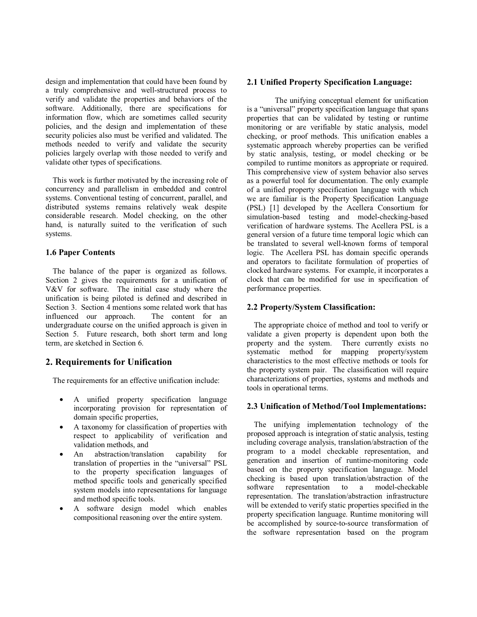design and implementation that could have been found by a truly comprehensive and well-structured process to verify and validate the properties and behaviors of the software. Additionally, there are specifications for information flow, which are sometimes called security policies, and the design and implementation of these security policies also must be verified and validated. The methods needed to verify and validate the security policies largely overlap with those needed to verify and validate other types of specifications.

 This work is further motivated by the increasing role of concurrency and parallelism in embedded and control systems. Conventional testing of concurrent, parallel, and distributed systems remains relatively weak despite considerable research. Model checking, on the other hand, is naturally suited to the verification of such systems.

## **1.6 Paper Contents**

 The balance of the paper is organized as follows. Section 2 gives the requirements for a unification of V&V for software. The initial case study where the unification is being piloted is defined and described in Section 3. Section 4 mentions some related work that has influenced our approach. The content for an undergraduate course on the unified approach is given in Section 5. Future research, both short term and long term, are sketched in Section 6.

## **2. Requirements for Unification**

The requirements for an effective unification include:

- A unified property specification language incorporating provision for representation of domain specific properties,
- A taxonomy for classification of properties with respect to applicability of verification and validation methods, and
- An abstraction/translation capability for translation of properties in the "universal" PSL to the property specification languages of method specific tools and generically specified system models into representations for language and method specific tools.
- A software design model which enables compositional reasoning over the entire system.

#### **2.1 Unified Property Specification Language:**

 The unifying conceptual element for unification is a "universal" property specification language that spans properties that can be validated by testing or runtime monitoring or are verifiable by static analysis, model checking, or proof methods. This unification enables a systematic approach whereby properties can be verified by static analysis, testing, or model checking or be compiled to runtime monitors as appropriate or required. This comprehensive view of system behavior also serves as a powerful tool for documentation. The only example of a unified property specification language with which we are familiar is the Property Specification Language (PSL) [1] developed by the Acellera Consortium for simulation-based testing and model-checking-based verification of hardware systems. The Acellera PSL is a general version of a future time temporal logic which can be translated to several well-known forms of temporal logic. The Acellera PSL has domain specific operands and operators to facilitate formulation of properties of clocked hardware systems. For example, it incorporates a clock that can be modified for use in specification of performance properties.

#### **2.2 Property/System Classification:**

 The appropriate choice of method and tool to verify or validate a given property is dependent upon both the property and the system. There currently exists no There currently exists no systematic method for mapping property/system characteristics to the most effective methods or tools for the property system pair. The classification will require characterizations of properties, systems and methods and tools in operational terms.

#### **2.3 Unification of Method/Tool Implementations:**

 The unifying implementation technology of the proposed approach is integration of static analysis, testing including coverage analysis, translation/abstraction of the program to a model checkable representation, and generation and insertion of runtime-monitoring code based on the property specification language. Model checking is based upon translation/abstraction of the software representation to a model-checkable representation. The translation/abstraction infrastructure will be extended to verify static properties specified in the property specification language. Runtime monitoring will be accomplished by source-to-source transformation of the software representation based on the program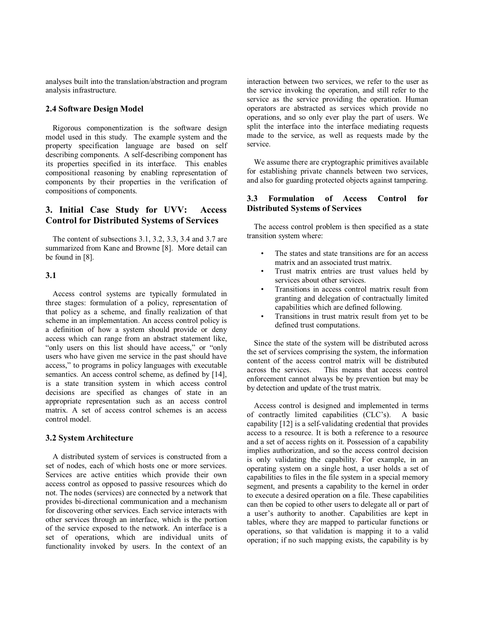analyses built into the translation/abstraction and program analysis infrastructure.

#### **2.4 Software Design Model**

 Rigorous componentization is the software design model used in this study. The example system and the property specification language are based on self describing components. A self-describing component has its properties specified in its interface. This enables compositional reasoning by enabling representation of components by their properties in the verification of compositions of components.

## **3. Initial Case Study for UVV: Access Control for Distributed Systems of Services**

 The content of subsections 3.1, 3.2, 3.3, 3.4 and 3.7 are summarized from Kane and Browne [8]. More detail can be found in [8].

#### **3.1**

 Access control systems are typically formulated in three stages: formulation of a policy, representation of that policy as a scheme, and finally realization of that scheme in an implementation. An access control policy is a definition of how a system should provide or deny access which can range from an abstract statement like, "only users on this list should have access," or "only" users who have given me service in the past should have access," to programs in policy languages with executable semantics. An access control scheme, as defined by [14], is a state transition system in which access control decisions are specified as changes of state in an appropriate representation such as an access control matrix. A set of access control schemes is an access control model.

#### **3.2 System Architecture**

 A distributed system of services is constructed from a set of nodes, each of which hosts one or more services. Services are active entities which provide their own access control as opposed to passive resources which do not. The nodes (services) are connected by a network that provides bi-directional communication and a mechanism for discovering other services. Each service interacts with other services through an interface, which is the portion of the service exposed to the network. An interface is a set of operations, which are individual units of functionality invoked by users. In the context of an

interaction between two services, we refer to the user as the service invoking the operation, and still refer to the service as the service providing the operation. Human operators are abstracted as services which provide no operations, and so only ever play the part of users. We split the interface into the interface mediating requests made to the service, as well as requests made by the service.

 We assume there are cryptographic primitives available for establishing private channels between two services, and also for guarding protected objects against tampering.

## **3.3 Formulation of Access Control for Distributed Systems of Services**

 The access control problem is then specified as a state transition system where:

- The states and state transitions are for an access matrix and an associated trust matrix.
- Trust matrix entries are trust values held by services about other services.
- Transitions in access control matrix result from granting and delegation of contractually limited capabilities which are defined following.
- Transitions in trust matrix result from yet to be defined trust computations.

 Since the state of the system will be distributed across the set of services comprising the system, the information content of the access control matrix will be distributed<br>across the services. This means that access control This means that access control enforcement cannot always be by prevention but may be by detection and update of the trust matrix.

 Access control is designed and implemented in terms of contractly limited capabilities (CLC's). A basic capability [12] is a self-validating credential that provides access to a resource. It is both a reference to a resource and a set of access rights on it. Possession of a capability implies authorization, and so the access control decision is only validating the capability. For example, in an operating system on a single host, a user holds a set of capabilities to files in the file system in a special memory segment, and presents a capability to the kernel in order to execute a desired operation on a file. These capabilities can then be copied to other users to delegate all or part of a user's authority to another. Capabilities are kept in tables, where they are mapped to particular functions or operations, so that validation is mapping it to a valid operation; if no such mapping exists, the capability is by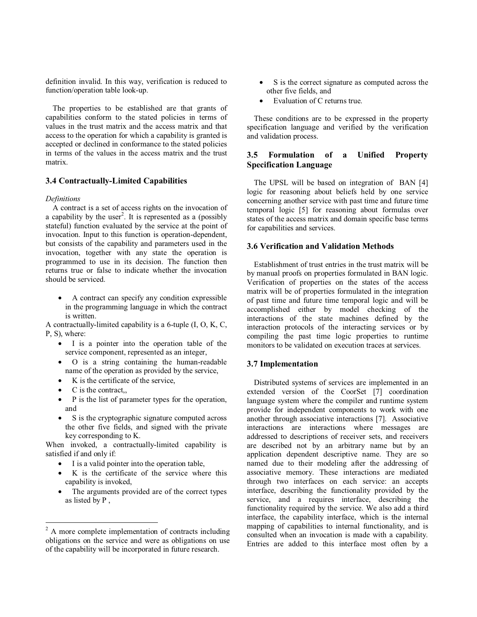definition invalid. In this way, verification is reduced to function/operation table look-up.

 The properties to be established are that grants of capabilities conform to the stated policies in terms of values in the trust matrix and the access matrix and that access to the operation for which a capability is granted is accepted or declined in conformance to the stated policies in terms of the values in the access matrix and the trust matrix.

#### **3.4 Contractually-Limited Capabilities**

#### *Definitions*

 A contract is a set of access rights on the invocation of a capability by the user<sup>2</sup>. It is represented as a (possibly stateful) function evaluated by the service at the point of invocation. Input to this function is operation-dependent, but consists of the capability and parameters used in the invocation, together with any state the operation is programmed to use in its decision. The function then returns true or false to indicate whether the invocation should be serviced.

• A contract can specify any condition expressible in the programming language in which the contract is written.

A contractually-limited capability is a 6-tuple (I, O, K, C, P, S), where:

- I is a pointer into the operation table of the service component, represented as an integer,
- O is a string containing the human-readable name of the operation as provided by the service,
- K is the certificate of the service,
- C is the contract,
- P is the list of parameter types for the operation, and
- S is the cryptographic signature computed across the other five fields, and signed with the private key corresponding to K.

When invoked, a contractually-limited capability is satisfied if and only if:

- I is a valid pointer into the operation table,
- K is the certificate of the service where this capability is invoked,
- The arguments provided are of the correct types as listed by P ,
- S is the correct signature as computed across the other five fields, and
- Evaluation of C returns true.

 These conditions are to be expressed in the property specification language and verified by the verification and validation process.

## **3.5 Formulation of a Unified Property Specification Language**

 The UPSL will be based on integration of BAN [4] logic for reasoning about beliefs held by one service concerning another service with past time and future time temporal logic [5] for reasoning about formulas over states of the access matrix and domain specific base terms for capabilities and services.

#### **3.6 Verification and Validation Methods**

 Establishment of trust entries in the trust matrix will be by manual proofs on properties formulated in BAN logic. Verification of properties on the states of the access matrix will be of properties formulated in the integration of past time and future time temporal logic and will be accomplished either by model checking of the interactions of the state machines defined by the interaction protocols of the interacting services or by compiling the past time logic properties to runtime monitors to be validated on execution traces at services.

### **3.7 Implementation**

 Distributed systems of services are implemented in an extended version of the CoorSet [7] coordination language system where the compiler and runtime system provide for independent components to work with one another through associative interactions [7]. Associative interactions are interactions where messages are addressed to descriptions of receiver sets, and receivers are described not by an arbitrary name but by an application dependent descriptive name. They are so named due to their modeling after the addressing of associative memory. These interactions are mediated through two interfaces on each service: an accepts interface, describing the functionality provided by the service, and a requires interface, describing the functionality required by the service. We also add a third interface, the capability interface, which is the internal mapping of capabilities to internal functionality, and is consulted when an invocation is made with a capability. Entries are added to this interface most often by a

<sup>&</sup>lt;sup>2</sup> A more complete implementation of contracts including obligations on the service and were as obligations on use of the capability will be incorporated in future research.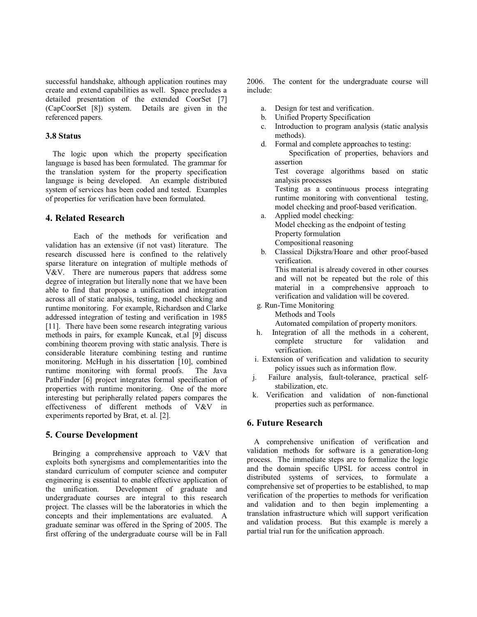successful handshake, although application routines may create and extend capabilities as well. Space precludes a detailed presentation of the extended CoorSet [7] (CapCoorSet [8]) system. Details are given in the referenced papers.

#### **3.8 Status**

 The logic upon which the property specification language is based has been formulated. The grammar for the translation system for the property specification language is being developed. An example distributed system of services has been coded and tested. Examples of properties for verification have been formulated.

## **4. Related Research**

 Each of the methods for verification and validation has an extensive (if not vast) literature. The research discussed here is confined to the relatively sparse literature on integration of multiple methods of V&V. There are numerous papers that address some degree of integration but literally none that we have been able to find that propose a unification and integration across all of static analysis, testing, model checking and runtime monitoring. For example, Richardson and Clarke addressed integration of testing and verification in 1985 [11]. There have been some research integrating various methods in pairs, for example Kuncak, et.al [9] discuss combining theorem proving with static analysis. There is considerable literature combining testing and runtime monitoring. McHugh in his dissertation [10], combined runtime monitoring with formal proofs. The Java PathFinder [6] project integrates formal specification of properties with runtime monitoring. One of the more interesting but peripherally related papers compares the effectiveness of different methods of V&V in experiments reported by Brat, et. al. [2].

## **5. Course Development**

 Bringing a comprehensive approach to V&V that exploits both synergisms and complementarities into the standard curriculum of computer science and computer engineering is essential to enable effective application of the unification. Development of graduate and undergraduate courses are integral to this research project. The classes will be the laboratories in which the concepts and their implementations are evaluated. A graduate seminar was offered in the Spring of 2005. The first offering of the undergraduate course will be in Fall

2006. The content for the undergraduate course will include:

- a. Design for test and verification.
- b. Unified Property Specification
- c. Introduction to program analysis (static analysis methods).
- d. Formal and complete approaches to testing: Specification of properties, behaviors and assertion Test coverage algorithms based on static

analysis processes

Testing as a continuous process integrating runtime monitoring with conventional testing, model checking and proof-based verification.

- a. Applied model checking: Model checking as the endpoint of testing Property formulation Compositional reasoning
- b. Classical Dijkstra/Hoare and other proof-based verification. This material is already covered in other courses and will not be repeated but the role of this material in a comprehensive approach to

verification and validation will be covered.

g. Run-Time Monitoring

Methods and Tools

Automated compilation of property monitors.

- h. Integration of all the methods in a coherent, complete structure for validation and verification.
- i. Extension of verification and validation to security policy issues such as information flow.
- j. Failure analysis, fault-tolerance, practical self stabilization, etc.
- k. Verification and validation of non-functional properties such as performance.

#### **6. Future Research**

 A comprehensive unification of verification and validation methods for software is a generation-long process. The immediate steps are to formalize the logic and the domain specific UPSL for access control in distributed systems of services, to formulate a comprehensive set of properties to be established, to map verification of the properties to methods for verification and validation and to then begin implementing a translation infrastructure which will support verification and validation process. But this example is merely a partial trial run for the unification approach.